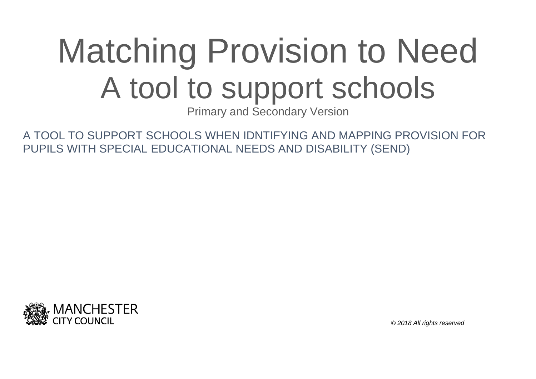# Matching Provision to Need A tool to support schools

Primary and Secondary Version

A TOOL TO SUPPORT SCHOOLS WHEN IDNTIFYING AND MAPPING PROVISION FOR PUPILS WITH SPECIAL EDUCATIONAL NEEDS AND DISABILITY (SEND)



*© 2018 All rights reserved*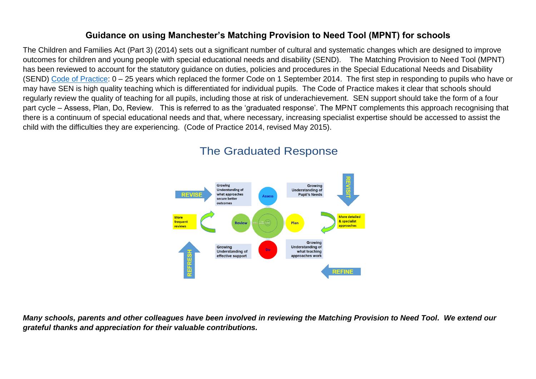#### **Guidance on using Manchester's Matching Provision to Need Tool (MPNT) for schools**

The Children and Families Act (Part 3) (2014) sets out a significant number of cultural and systematic changes which are designed to improve outcomes for children and young people with special educational needs and disability (SEND). The Matching Provision to Need Tool (MPNT) has been reviewed to account for the statutory guidance on duties, policies and procedures in the Special Educational Needs and Disability (SEND) [Code of Practice:](https://assets.publishing.service.gov.uk/government/uploads/system/uploads/attachment_data/file/398815/SEND_Code_of_Practice_January_2015.pdf) 0 – 25 years which replaced the former Code on 1 September 2014. The first step in responding to pupils who have or may have SEN is high quality teaching which is differentiated for individual pupils. The Code of Practice makes it clear that schools should regularly review the quality of teaching for all pupils, including those at risk of underachievement. SEN support should take the form of a four part cycle – Assess, Plan, Do, Review. This is referred to as the 'graduated response'. The MPNT complements this approach recognising that there is a continuum of special educational needs and that, where necessary, increasing specialist expertise should be accessed to assist the child with the difficulties they are experiencing. (Code of Practice 2014, revised May 2015).



# The Graduated Response

*Many schools, parents and other colleagues have been involved in reviewing the Matching Provision to Need Tool. We extend our grateful thanks and appreciation for their valuable contributions.*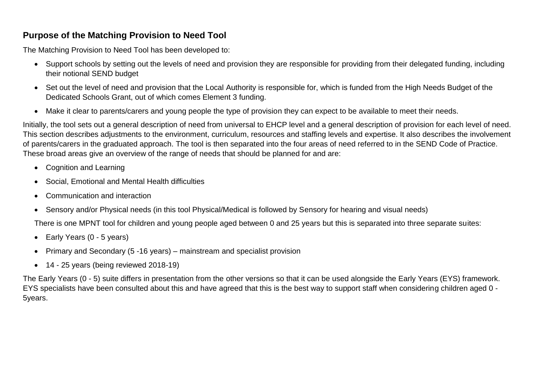### **Purpose of the Matching Provision to Need Tool**

The Matching Provision to Need Tool has been developed to:

- Support schools by setting out the levels of need and provision they are responsible for providing from their delegated funding, including their notional SEND budget
- Set out the level of need and provision that the Local Authority is responsible for, which is funded from the High Needs Budget of the Dedicated Schools Grant, out of which comes Element 3 funding.
- Make it clear to parents/carers and young people the type of provision they can expect to be available to meet their needs.

Initially, the tool sets out a general description of need from universal to EHCP level and a general description of provision for each level of need. This section describes adjustments to the environment, curriculum, resources and staffing levels and expertise. It also describes the involvement of parents/carers in the graduated approach. The tool is then separated into the four areas of need referred to in the SEND Code of Practice. These broad areas give an overview of the range of needs that should be planned for and are:

- Cognition and Learning
- Social, Emotional and Mental Health difficulties
- Communication and interaction
- Sensory and/or Physical needs (in this tool Physical/Medical is followed by Sensory for hearing and visual needs)

There is one MPNT tool for children and young people aged between 0 and 25 years but this is separated into three separate suites:

- Early Years (0 5 years)
- Primary and Secondary (5 -16 years) mainstream and specialist provision
- 14 25 years (being reviewed 2018-19)

The Early Years (0 - 5) suite differs in presentation from the other versions so that it can be used alongside the Early Years (EYS) framework. EYS specialists have been consulted about this and have agreed that this is the best way to support staff when considering children aged 0 - 5years.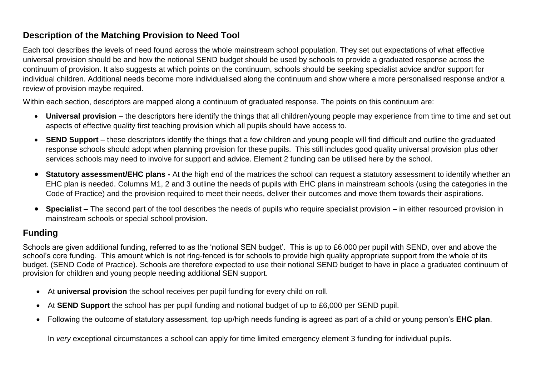# **Description of the Matching Provision to Need Tool**

Each tool describes the levels of need found across the whole mainstream school population. They set out expectations of what effective universal provision should be and how the notional SEND budget should be used by schools to provide a graduated response across the continuum of provision. It also suggests at which points on the continuum, schools should be seeking specialist advice and/or support for individual children. Additional needs become more individualised along the continuum and show where a more personalised response and/or a review of provision maybe required.

Within each section, descriptors are mapped along a continuum of graduated response. The points on this continuum are:

- **Universal provision** the descriptors here identify the things that all children/young people may experience from time to time and set out aspects of effective quality first teaching provision which all pupils should have access to.
- SEND Support these descriptors identify the things that a few children and young people will find difficult and outline the graduated response schools should adopt when planning provision for these pupils. This still includes good quality universal provision plus other services schools may need to involve for support and advice. Element 2 funding can be utilised here by the school.
- **Statutory assessment/EHC plans -** At the high end of the matrices the school can request a statutory assessment to identify whether an EHC plan is needed. Columns M1, 2 and 3 outline the needs of pupils with EHC plans in mainstream schools (using the categories in the Code of Practice) and the provision required to meet their needs, deliver their outcomes and move them towards their aspirations.
- **Specialist –** The second part of the tool describes the needs of pupils who require specialist provision in either resourced provision in mainstream schools or special school provision.

# **Funding**

Schools are given additional funding, referred to as the 'notional SEN budget'. This is up to £6,000 per pupil with SEND, over and above the school's core funding. This amount which is not ring-fenced is for schools to provide high quality appropriate support from the whole of its budget. (SEND Code of Practice). Schools are therefore expected to use their notional SEND budget to have in place a graduated continuum of provision for children and young people needing additional SEN support.

- At **universal provision** the school receives per pupil funding for every child on roll.
- At **SEND Support** the school has per pupil funding and notional budget of up to £6,000 per SEND pupil.
- Following the outcome of statutory assessment, top up/high needs funding is agreed as part of a child or young person's **EHC plan**.

In *very* exceptional circumstances a school can apply for time limited emergency element 3 funding for individual pupils.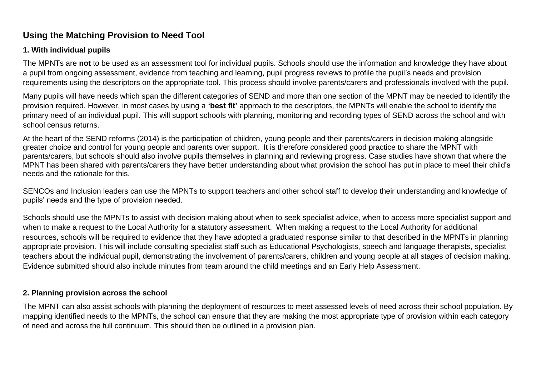# **Using the Matching Provision to Need Tool**

#### **1. With individual pupils**

The MPNTs are **not** to be used as an assessment tool for individual pupils. Schools should use the information and knowledge they have about a pupil from ongoing assessment, evidence from teaching and learning, pupil progress reviews to profile the pupil's needs and provision requirements using the descriptors on the appropriate tool. This process should involve parents/carers and professionals involved with the pupil.

Many pupils will have needs which span the different categories of SEND and more than one section of the MPNT may be needed to identify the provision required. However, in most cases by using a **'best fit'** approach to the descriptors, the MPNTs will enable the school to identify the primary need of an individual pupil. This will support schools with planning, monitoring and recording types of SEND across the school and with school census returns.

At the heart of the SEND reforms (2014) is the participation of children, young people and their parents/carers in decision making alongside greater choice and control for young people and parents over support. It is therefore considered good practice to share the MPNT with parents/carers, but schools should also involve pupils themselves in planning and reviewing progress. Case studies have shown that where the MPNT has been shared with parents/carers they have better understanding about what provision the school has put in place to meet their child's needs and the rationale for this.

SENCOs and Inclusion leaders can use the MPNTs to support teachers and other school staff to develop their understanding and knowledge of pupils' needs and the type of provision needed.

Schools should use the MPNTs to assist with decision making about when to seek specialist advice, when to access more specialist support and when to make a request to the Local Authority for a statutory assessment. When making a request to the Local Authority for additional resources, schools will be required to evidence that they have adopted a graduated response similar to that described in the MPNTs in planning appropriate provision. This will include consulting specialist staff such as Educational Psychologists, speech and language therapists, specialist teachers about the individual pupil, demonstrating the involvement of parents/carers, children and young people at all stages of decision making. Evidence submitted should also include minutes from team around the child meetings and an Early Help Assessment.

#### **2. Planning provision across the school**

The MPNT can also assist schools with planning the deployment of resources to meet assessed levels of need across their school population. By mapping identified needs to the MPNTs, the school can ensure that they are making the most appropriate type of provision within each category of need and across the full continuum. This should then be outlined in a provision plan.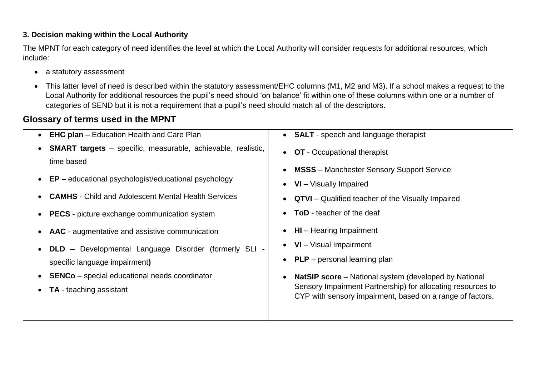#### **3. Decision making within the Local Authority**

The MPNT for each category of need identifies the level at which the Local Authority will consider requests for additional resources, which include:

- a statutory assessment
- This latter level of need is described within the statutory assessment/EHC columns (M1, M2 and M3). If a school makes a request to the Local Authority for additional resources the pupil's need should 'on balance' fit within one of these columns within one or a number of categories of SEND but it is not a requirement that a pupil's need should match all of the descriptors.

# **Glossary of terms used in the MPNT**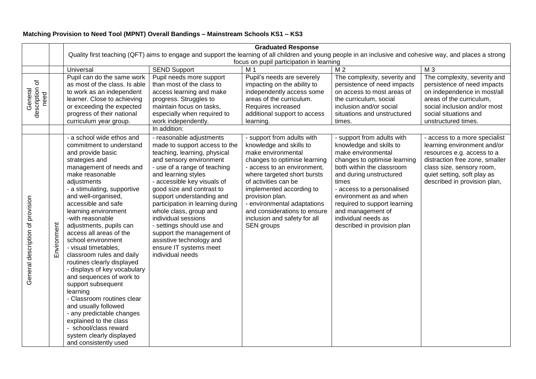#### **Matching Provision to Need Tool (MPNT) Overall Bandings – Mainstream Schools KS1 – KS3**

|                                   |             | <b>Graduated Response</b>                                                                                                                                                                                                                                                                                                                                                                                                                                                                                                                                                                                                                                                                                                                  |                                                                                                                                                                                                                                                                                                                                                                                                                                                                                               |                                                                                                                                                                                                                                                                                                                                                               |                                                                                                                                                                                                                                                                                                                                                  |                                                                                                                                                                                                                          |  |  |
|-----------------------------------|-------------|--------------------------------------------------------------------------------------------------------------------------------------------------------------------------------------------------------------------------------------------------------------------------------------------------------------------------------------------------------------------------------------------------------------------------------------------------------------------------------------------------------------------------------------------------------------------------------------------------------------------------------------------------------------------------------------------------------------------------------------------|-----------------------------------------------------------------------------------------------------------------------------------------------------------------------------------------------------------------------------------------------------------------------------------------------------------------------------------------------------------------------------------------------------------------------------------------------------------------------------------------------|---------------------------------------------------------------------------------------------------------------------------------------------------------------------------------------------------------------------------------------------------------------------------------------------------------------------------------------------------------------|--------------------------------------------------------------------------------------------------------------------------------------------------------------------------------------------------------------------------------------------------------------------------------------------------------------------------------------------------|--------------------------------------------------------------------------------------------------------------------------------------------------------------------------------------------------------------------------|--|--|
|                                   |             | Quality first teaching (QFT) aims to engage and support the learning of all children and young people in an inclusive and cohesive way, and places a strong                                                                                                                                                                                                                                                                                                                                                                                                                                                                                                                                                                                |                                                                                                                                                                                                                                                                                                                                                                                                                                                                                               |                                                                                                                                                                                                                                                                                                                                                               |                                                                                                                                                                                                                                                                                                                                                  |                                                                                                                                                                                                                          |  |  |
|                                   |             |                                                                                                                                                                                                                                                                                                                                                                                                                                                                                                                                                                                                                                                                                                                                            | focus on pupil participation in learning                                                                                                                                                                                                                                                                                                                                                                                                                                                      |                                                                                                                                                                                                                                                                                                                                                               |                                                                                                                                                                                                                                                                                                                                                  |                                                                                                                                                                                                                          |  |  |
|                                   |             | Universal                                                                                                                                                                                                                                                                                                                                                                                                                                                                                                                                                                                                                                                                                                                                  | <b>SEND Support</b>                                                                                                                                                                                                                                                                                                                                                                                                                                                                           | M <sub>1</sub>                                                                                                                                                                                                                                                                                                                                                | M <sub>2</sub>                                                                                                                                                                                                                                                                                                                                   | M <sub>3</sub>                                                                                                                                                                                                           |  |  |
|                                   |             | Pupil can do the same work<br>as most of the class. Is able<br>to work as an independent                                                                                                                                                                                                                                                                                                                                                                                                                                                                                                                                                                                                                                                   | Pupil needs more support<br>than most of the class to<br>access learning and make                                                                                                                                                                                                                                                                                                                                                                                                             | Pupil's needs are severely<br>impacting on the ability to<br>independently access some                                                                                                                                                                                                                                                                        | The complexity, severity and<br>persistence of need impacts<br>on access to most areas of                                                                                                                                                                                                                                                        | The complexity, severity and<br>persistence of need impacts<br>on independence in most/all                                                                                                                               |  |  |
| description of<br>need<br>General |             | learner. Close to achieving<br>or exceeding the expected<br>progress of their national<br>curriculum year group.                                                                                                                                                                                                                                                                                                                                                                                                                                                                                                                                                                                                                           | progress. Struggles to<br>maintain focus on tasks,<br>especially when required to<br>work independently.                                                                                                                                                                                                                                                                                                                                                                                      | areas of the curriculum.<br>Requires increased<br>additional support to access<br>learning.                                                                                                                                                                                                                                                                   | the curriculum, social<br>inclusion and/or social<br>situations and unstructured<br>times.                                                                                                                                                                                                                                                       | areas of the curriculum,<br>social inclusion and/or most<br>social situations and<br>unstructured times.                                                                                                                 |  |  |
|                                   |             |                                                                                                                                                                                                                                                                                                                                                                                                                                                                                                                                                                                                                                                                                                                                            | In addition:                                                                                                                                                                                                                                                                                                                                                                                                                                                                                  |                                                                                                                                                                                                                                                                                                                                                               |                                                                                                                                                                                                                                                                                                                                                  |                                                                                                                                                                                                                          |  |  |
| General description of provision  | Environment | - a school wide ethos and<br>commitment to understand<br>and provide basic<br>strategies and<br>management of needs and<br>make reasonable<br>adjustments<br>- a stimulating, supportive<br>and well-organised,<br>accessible and safe<br>learning environment<br>-with reasonable<br>adjustments, pupils can<br>access all areas of the<br>school environment<br>- visual timetables,<br>classroom rules and daily<br>routines clearly displayed<br>- displays of key vocabulary<br>and sequences of work to<br>support subsequent<br>learning<br>- Classroom routines clear<br>and usually followed<br>- any predictable changes<br>explained to the class<br>- school/class reward<br>system clearly displayed<br>and consistently used | - reasonable adjustments<br>made to support access to the<br>teaching, learning, physical<br>and sensory environment<br>- use of a range of teaching<br>and learning styles<br>- accessible key visuals of<br>good size and contrast to<br>support understanding and<br>participation in learning during<br>whole class, group and<br>individual sessions<br>- settings should use and<br>support the management of<br>assistive technology and<br>ensure IT systems meet<br>individual needs | - support from adults with<br>knowledge and skills to<br>make environmental<br>changes to optimise learning<br>- access to an environment,<br>where targeted short bursts<br>of activities can be<br>implemented according to<br>provision plan.<br>- environmental adaptations<br>and considerations to ensure<br>inclusion and safety for all<br>SEN groups | - support from adults with<br>knowledge and skills to<br>make environmental<br>changes to optimise learning<br>both within the classroom<br>and during unstructured<br>times<br>- access to a personalised<br>environment as and when<br>required to support learning<br>and management of<br>individual needs as<br>described in provision plan | - access to a more specialist<br>learning environment and/or<br>resources e.g. access to a<br>distraction free zone, smaller<br>class size, sensory room,<br>quiet setting, soft play as<br>described in provision plan, |  |  |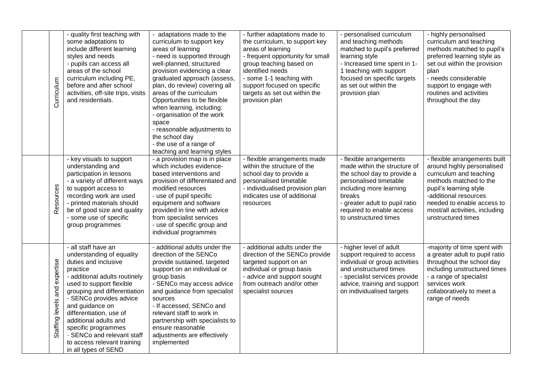| Curriculum                          | - quality first teaching with<br>some adaptations to<br>include different learning<br>styles and needs<br>- pupils can access all<br>areas of the school<br>curriculum including PE,<br>before and after school<br>activities, off-site trips, visits<br>and residentials.                                                                                                                      | - adaptations made to the<br>curriculum to support key<br>areas of learning<br>- need is supported through<br>well-planned, structured<br>provision evidencing a clear<br>graduated approach (assess,<br>plan, do review) covering all<br>areas of the curriculum<br>Opportunities to be flexible<br>when learning, including:<br>- organisation of the work<br>space<br>- reasonable adjustments to<br>the school day<br>- the use of a range of<br>teaching and learning styles | - further adaptations made to<br>the curriculum, to support key<br>areas of learning<br>- frequent opportunity for small<br>group teaching based on<br>identified needs<br>- some 1-1 teaching with<br>support focused on specific<br>targets as set out within the<br>provision plan | - personalised curriculum<br>and teaching methods<br>matched to pupil's preferred<br>learning style<br>- Increased time spent in 1-<br>1 teaching with support<br>focused on specific targets<br>as set out within the<br>provision plan      | - highly personalised<br>curriculum and teaching<br>methods matched to pupil's<br>preferred learning style as<br>set out within the provision<br>plan<br>- needs considerable<br>support to engage with<br>routines and activities<br>throughout the day  |
|-------------------------------------|-------------------------------------------------------------------------------------------------------------------------------------------------------------------------------------------------------------------------------------------------------------------------------------------------------------------------------------------------------------------------------------------------|-----------------------------------------------------------------------------------------------------------------------------------------------------------------------------------------------------------------------------------------------------------------------------------------------------------------------------------------------------------------------------------------------------------------------------------------------------------------------------------|---------------------------------------------------------------------------------------------------------------------------------------------------------------------------------------------------------------------------------------------------------------------------------------|-----------------------------------------------------------------------------------------------------------------------------------------------------------------------------------------------------------------------------------------------|-----------------------------------------------------------------------------------------------------------------------------------------------------------------------------------------------------------------------------------------------------------|
| Resources                           | - key visuals to support<br>understanding and<br>participation in lessons<br>- a variety of different ways<br>to support access to<br>recording work are used<br>- printed materials should<br>be of good size and quality<br>- some use of specific<br>group programmes                                                                                                                        | - a provision map is in place<br>which includes evidence-<br>based interventions and<br>provision of differentiated and<br>modified resources<br>- use of pupil specific<br>equipment and software<br>provided in line with advice<br>from specialist services<br>- use of specific group and<br>individual programmes                                                                                                                                                            | - flexible arrangements made<br>within the structure of the<br>school day to provide a<br>personalised timetable<br>- individualised provision plan<br>indicates use of additional<br>resources                                                                                       | - flexible arrangements<br>made within the structure of<br>the school day to provide a<br>personalised timetable<br>including more learning<br>breaks<br>- greater adult to pupil ratio<br>required to enable access<br>to unstructured times | - flexible arrangements built<br>around highly personalised<br>curriculum and teaching<br>methods matched to the<br>pupil's learning style<br>-additional resources<br>needed to enable access to<br>most/all activities, including<br>unstructured times |
| expertise<br>and<br>Staffing levels | - all staff have an<br>understanding of equality<br>duties and inclusive<br>practice<br>- additional adults routinely<br>used to support flexible<br>grouping and differentiation<br>- SENCo provides advice<br>and guidance on<br>differentiation, use of<br>additional adults and<br>specific programmes<br>- SENCo and relevant staff<br>to access relevant training<br>in all types of SEND | - additional adults under the<br>direction of the SENCo<br>provide sustained, targeted<br>support on an individual or<br>group basis<br>- SENCo may access advice<br>and guidance from specialist<br>sources<br>- If accessed, SENCo and<br>relevant staff to work in<br>partnership with specialists to<br>ensure reasonable<br>adjustments are effectively<br>implemented                                                                                                       | - additional adults under the<br>direction of the SENCo provide<br>targeted support on an<br>individual or group basis<br>- advice and support sought<br>from outreach and/or other<br>specialist sources                                                                             | - higher level of adult<br>support required to access<br>individual or group activities<br>and unstructured times<br>- specialist services provide<br>advice, training and support<br>on individualised targets                               | -majority of time spent with<br>a greater adult to pupil ratio<br>throughout the school day<br>including unstructured times<br>- a range of specialist<br>services work<br>collaboratively to meet a<br>range of needs                                    |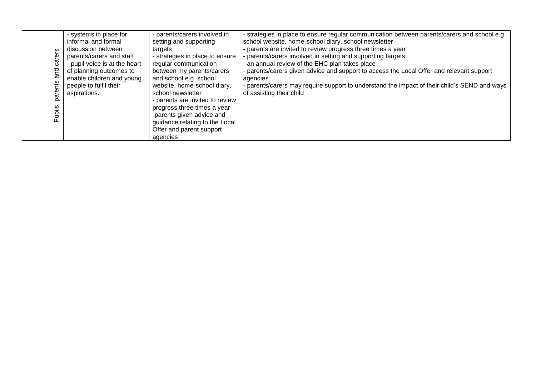|  | ω<br>ت<br>짇<br>rents<br><u>ನ</u><br>upils<br>൨ | - systems in place for<br>informal and formal<br>discussion between<br>parents/carers and staff<br>- pupil voice is at the heart<br>of planning outcomes to<br>enable children and young<br>people to fulfil their<br>aspirations. | - parents/carers involved in<br>setting and supporting<br>targets<br>- strategies in place to ensure<br>regular communication<br>between my parents/carers<br>and school e.g. school<br>website, home-school diary,<br>school newsletter<br>- parents are invited to review<br>progress three times a year<br>-parents given advice and<br>guidance relating to the Local<br>Offer and parent support | - strategies in place to ensure regular communication between parents/carers and school e.g.<br>school website, home-school diary, school newsletter<br>- parents are invited to review progress three times a year<br>- parents/carers involved in setting and supporting targets<br>- an annual review of the EHC plan takes place<br>parents/carers given advice and support to access the Local Offer and relevant support<br>agencies<br>- parents/carers may require support to understand the impact of their child's SEND and ways<br>of assisting their child |
|--|------------------------------------------------|------------------------------------------------------------------------------------------------------------------------------------------------------------------------------------------------------------------------------------|-------------------------------------------------------------------------------------------------------------------------------------------------------------------------------------------------------------------------------------------------------------------------------------------------------------------------------------------------------------------------------------------------------|------------------------------------------------------------------------------------------------------------------------------------------------------------------------------------------------------------------------------------------------------------------------------------------------------------------------------------------------------------------------------------------------------------------------------------------------------------------------------------------------------------------------------------------------------------------------|
|--|------------------------------------------------|------------------------------------------------------------------------------------------------------------------------------------------------------------------------------------------------------------------------------------|-------------------------------------------------------------------------------------------------------------------------------------------------------------------------------------------------------------------------------------------------------------------------------------------------------------------------------------------------------------------------------------------------------|------------------------------------------------------------------------------------------------------------------------------------------------------------------------------------------------------------------------------------------------------------------------------------------------------------------------------------------------------------------------------------------------------------------------------------------------------------------------------------------------------------------------------------------------------------------------|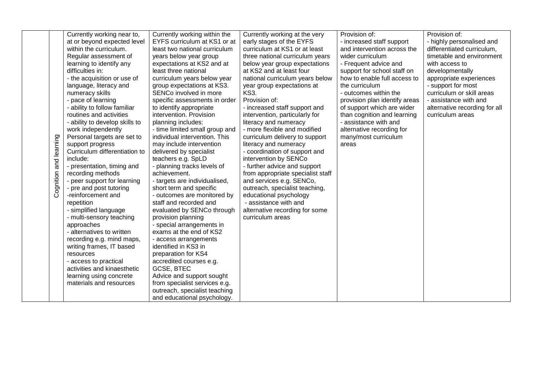|              | Currently working near to,     | Currently working within the   | Currently working at the very     | Provision of:                 | Provision of:                 |
|--------------|--------------------------------|--------------------------------|-----------------------------------|-------------------------------|-------------------------------|
|              | at or beyond expected level    | EYFS curriculum at KS1 or at   | early stages of the EYFS          | - increased staff support     | - highly personalised and     |
|              | within the curriculum.         | least two national curriculum  | curriculum at KS1 or at least     | and intervention across the   | differentiated curriculum,    |
|              | Regular assessment of          | years below year group         | three national curriculum years   | wider curriculum              | timetable and environment     |
|              | learning to identify any       | expectations at KS2 and at     | below year group expectations     | - Frequent advice and         | with access to                |
|              | difficulties in:               | least three national           | at KS2 and at least four          | support for school staff on   | developmentally               |
|              | - the acquisition or use of    | curriculum years below year    | national curriculum years below   | how to enable full access to  | appropriate experiences       |
|              | language, literacy and         | group expectations at KS3.     | year group expectations at        | the curriculum                | - support for most            |
|              | numeracy skills                | SENCo involved in more         | <b>KS3.</b>                       | - outcomes within the         | curriculum or skill areas     |
|              | - pace of learning             | specific assessments in order  | Provision of:                     | provision plan identify areas | - assistance with and         |
|              | - ability to follow familiar   | to identify appropriate        | - increased staff support and     | of support which are wider    | alternative recording for all |
|              | routines and activities        | intervention. Provision        | intervention, particularly for    | than cognition and learning   | curriculum areas              |
|              | - ability to develop skills to | planning includes:             | literacy and numeracy             | - assistance with and         |                               |
|              | work independently             | - time limited small group and | - more flexible and modified      | alternative recording for     |                               |
|              | Personal targets are set to    | individual intervention. This  | curriculum delivery to support    | many/most curriculum          |                               |
|              | support progress               | may include intervention       | literacy and numeracy             | areas                         |                               |
|              | Curriculum differentiation to  | delivered by specialist        | - coordination of support and     |                               |                               |
|              | include:                       | teachers e.g. SpLD             | intervention by SENCo             |                               |                               |
| and learning | - presentation, timing and     | - planning tracks levels of    | - further advice and support      |                               |                               |
|              | recording methods              | achievement.                   | from appropriate specialist staff |                               |                               |
| Cognition    | - peer support for learning    | - targets are individualised,  | and services e.g. SENCo,          |                               |                               |
|              | - pre and post tutoring        | short term and specific        | outreach, specialist teaching,    |                               |                               |
|              | -reinforcement and             | - outcomes are monitored by    | educational psychology            |                               |                               |
|              | repetition                     | staff and recorded and         | - assistance with and             |                               |                               |
|              | - simplified language          | evaluated by SENCo through     | alternative recording for some    |                               |                               |
|              | - multi-sensory teaching       | provision planning             | curriculum areas                  |                               |                               |
|              | approaches                     | - special arrangements in      |                                   |                               |                               |
|              | - alternatives to written      | exams at the end of KS2        |                                   |                               |                               |
|              | recording e.g. mind maps,      | - access arrangements          |                                   |                               |                               |
|              | writing frames, IT based       | identified in KS3 in           |                                   |                               |                               |
|              | resources                      | preparation for KS4            |                                   |                               |                               |
|              | - access to practical          | accredited courses e.g.        |                                   |                               |                               |
|              | activities and kinaesthetic    | <b>GCSE, BTEC</b>              |                                   |                               |                               |
|              | learning using concrete        | Advice and support sought      |                                   |                               |                               |
|              | materials and resources        | from specialist services e.g.  |                                   |                               |                               |
|              |                                | outreach, specialist teaching  |                                   |                               |                               |
|              |                                | and educational psychology.    |                                   |                               |                               |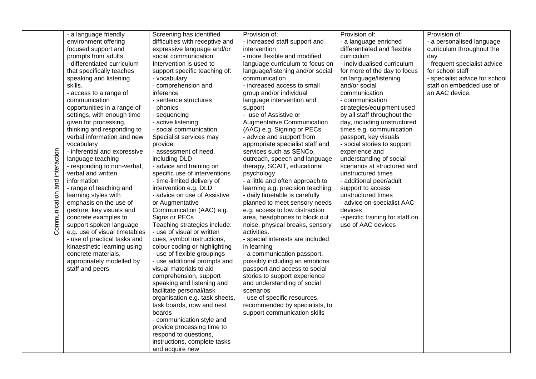|                 | - a language friendly         | Screening has identified        | Provision of:                     | Provision of:                   | Provision of:                  |
|-----------------|-------------------------------|---------------------------------|-----------------------------------|---------------------------------|--------------------------------|
|                 | environment offering          | difficulties with receptive and | - increased staff support and     | - a language enriched           | - a personalised language      |
|                 | focused support and           | expressive language and/or      | intervention                      | differentiated and flexible     | curriculum throughout the      |
|                 | prompts from adults           | social communication            | - more flexible and modified      | curriculum                      | day                            |
|                 | - differentiated curriculum   | Intervention is used to         | language curriculum to focus on   | - individualised curriculum     | - frequent specialist advice   |
|                 | that specifically teaches     | support specific teaching of:   | language/listening and/or social  | for more of the day to focus    | for school staff               |
|                 | speaking and listening        | - vocabulary                    | communication                     | on language/listening           | - specialist advice for school |
|                 | skills.                       | - comprehension and             | - increased access to small       | and/or social                   | staff on embedded use of       |
|                 | - access to a range of        | inference                       | group and/or individual           | communication                   | an AAC device.                 |
|                 | communication                 | - sentence structures           | language intervention and         | - communication                 |                                |
|                 | opportunities in a range of   | - phonics                       | support                           | strategies/equipment used       |                                |
|                 | settings, with enough time    | - sequencing                    | - use of Assistive or             | by all staff throughout the     |                                |
|                 | given for processing,         | - active listening              | <b>Augmentative Communication</b> | day, including unstructured     |                                |
|                 | thinking and responding to    | - social communication          | (AAC) e.g. Signing or PECs        | times e.g. communication        |                                |
|                 | verbal information and new    | Specialist services may         | - advice and support from         | passport, key visuals           |                                |
|                 | vocabulary                    | provide:                        | appropriate specialist staff and  | - social stories to support     |                                |
|                 | - inferential and expressive  | - assessment of need,           | services such as SENCo,           | experience and                  |                                |
| and interaction | language teaching             | including DLD                   | outreach, speech and language     | understanding of social         |                                |
|                 | - responding to non-verbal,   | - advice and training on        | therapy, SCAIT, educational       | scenarios at structured and     |                                |
|                 | verbal and written            | specific use of interventions   | psychology                        | unstructured times              |                                |
|                 | information                   | - time-limited delivery of      | - a little and often approach to  | - additional peer/adult         |                                |
|                 | - range of teaching and       | intervention e.g. DLD           | learning e.g. precision teaching  | support to access               |                                |
|                 | learning styles with          | - advice on use of Assistive    | - daily timetable is carefully    | unstructured times              |                                |
|                 | emphasis on the use of        | or Augmentative                 | planned to meet sensory needs     | - advice on specialist AAC      |                                |
|                 | gesture, key visuals and      | Communication (AAC) e.g.        | e.g. access to low distraction    | devices                         |                                |
|                 | concrete examples to          | Signs or PECs                   | area, headphones to block out     | -specific training for staff on |                                |
| Communication   | support spoken language       | Teaching strategies include:    | noise, physical breaks, sensory   | use of AAC devices              |                                |
|                 | e.g. use of visual timetables | - use of visual or written      | activities.                       |                                 |                                |
|                 | - use of practical tasks and  | cues, symbol instructions,      | - special interests are included  |                                 |                                |
|                 | kinaesthetic learning using   | colour coding or highlighting   | in learning                       |                                 |                                |
|                 | concrete materials,           | - use of flexible groupings     | - a communication passport,       |                                 |                                |
|                 | appropriately modelled by     | - use additional prompts and    | possibly including an emotions    |                                 |                                |
|                 | staff and peers               | visual materials to aid         | passport and access to social     |                                 |                                |
|                 |                               | comprehension, support          | stories to support experience     |                                 |                                |
|                 |                               | speaking and listening and      | and understanding of social       |                                 |                                |
|                 |                               | facilitate personal/task        | scenarios                         |                                 |                                |
|                 |                               | organisation e.g. task sheets,  | - use of specific resources,      |                                 |                                |
|                 |                               | task boards, now and next       | recommended by specialists, to    |                                 |                                |
|                 |                               | boards                          | support communication skills      |                                 |                                |
|                 |                               | - communication style and       |                                   |                                 |                                |
|                 |                               | provide processing time to      |                                   |                                 |                                |
|                 |                               | respond to questions,           |                                   |                                 |                                |
|                 |                               | instructions, complete tasks    |                                   |                                 |                                |
|                 |                               | and acquire new                 |                                   |                                 |                                |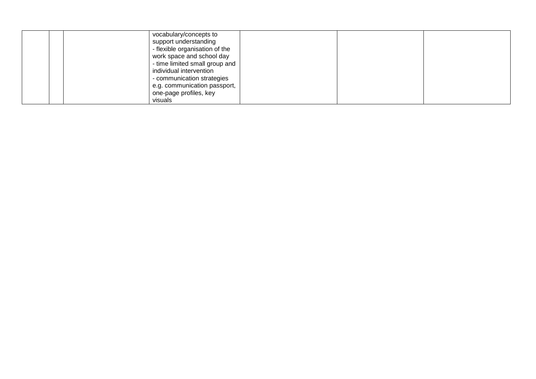| vocabulary/concepts to<br>support understanding<br>- flexible organisation of the<br>work space and school day<br>- time limited small group and<br>individual intervention<br>- communication strategies |
|-----------------------------------------------------------------------------------------------------------------------------------------------------------------------------------------------------------|
|                                                                                                                                                                                                           |
| e.g. communication passport,                                                                                                                                                                              |
| one-page profiles, key                                                                                                                                                                                    |
| visuals                                                                                                                                                                                                   |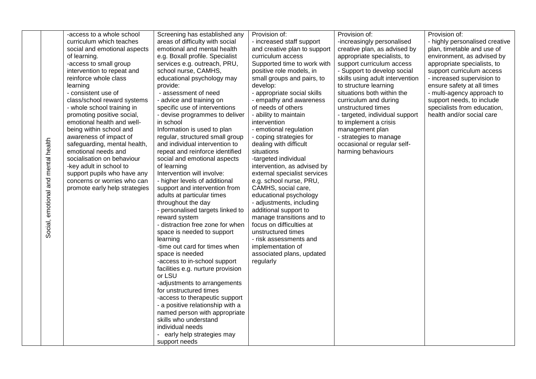|               | -access to a whole school     | Screening has established any                                      | Provision of:                | Provision of:                   | Provision of:                  |
|---------------|-------------------------------|--------------------------------------------------------------------|------------------------------|---------------------------------|--------------------------------|
|               | curriculum which teaches      | areas of difficulty with social                                    | - increased staff support    | -increasingly personalised      | - highly personalised creative |
|               | social and emotional aspects  | emotional and mental health                                        | and creative plan to support | creative plan, as advised by    | plan, timetable and use of     |
|               | of learning.                  | e.g. Boxall profile. Specialist                                    | curriculum access            | appropriate specialists, to     | environment, as advised by     |
|               | -access to small group        | services e.g. outreach, PRU,                                       | Supported time to work with  | support curriculum access       | appropriate specialists, to    |
|               | intervention to repeat and    | school nurse, CAMHS,                                               | positive role models, in     | - Support to develop social     | support curriculum access      |
|               | reinforce whole class         | educational psychology may                                         | small groups and pairs, to   | skills using adult intervention | - increased supervision to     |
|               | learning                      | provide:                                                           | develop:                     | to structure learning           | ensure safety at all times     |
|               | - consistent use of           | - assessment of need                                               | - appropriate social skills  | situations both within the      | - multi-agency approach to     |
|               | class/school reward systems   | - advice and training on                                           | - empathy and awareness      | curriculum and during           | support needs, to include      |
|               | - whole school training in    | specific use of interventions                                      | of needs of others           | unstructured times              | specialists from education,    |
|               | promoting positive social,    | - devise programmes to deliver                                     | - ability to maintain        | - targeted, individual support  | health and/or social care      |
|               | emotional health and well-    | in school                                                          | intervention                 | to implement a crisis           |                                |
|               | being within school and       | Information is used to plan                                        | - emotional regulation       | management plan                 |                                |
|               | awareness of impact of        | regular, structured small group                                    | - coping strategies for      | - strategies to manage          |                                |
|               | safeguarding, mental health,  | and individual intervention to                                     | dealing with difficult       | occasional or regular self-     |                                |
| mental health | emotional needs and           | repeat and reinforce identified                                    | situations                   | harming behaviours              |                                |
|               | socialisation on behaviour    | social and emotional aspects                                       | -targeted individual         |                                 |                                |
|               | -key adult in school to       | of learning                                                        | intervention, as advised by  |                                 |                                |
|               | support pupils who have any   | Intervention will involve:                                         | external specialist services |                                 |                                |
| and           | concerns or worries who can   | - higher levels of additional                                      | e.g. school nurse, PRU,      |                                 |                                |
|               | promote early help strategies | support and intervention from                                      | CAMHS, social care,          |                                 |                                |
| emotional     |                               | adults at particular times                                         | educational psychology       |                                 |                                |
|               |                               | throughout the day                                                 | - adjustments, including     |                                 |                                |
|               |                               | - personalised targets linked to                                   | additional support to        |                                 |                                |
|               |                               | reward system                                                      | manage transitions and to    |                                 |                                |
|               |                               | - distraction free zone for when                                   | focus on difficulties at     |                                 |                                |
| Social,       |                               | space is needed to support                                         | unstructured times           |                                 |                                |
|               |                               | learning                                                           | - risk assessments and       |                                 |                                |
|               |                               | -time out card for times when                                      | implementation of            |                                 |                                |
|               |                               | space is needed                                                    | associated plans, updated    |                                 |                                |
|               |                               | -access to in-school support                                       | regularly                    |                                 |                                |
|               |                               | facilities e.g. nurture provision<br>or LSU                        |                              |                                 |                                |
|               |                               |                                                                    |                              |                                 |                                |
|               |                               | -adjustments to arrangements                                       |                              |                                 |                                |
|               |                               | for unstructured times                                             |                              |                                 |                                |
|               |                               | -access to therapeutic support<br>- a positive relationship with a |                              |                                 |                                |
|               |                               | named person with appropriate                                      |                              |                                 |                                |
|               |                               | skills who understand                                              |                              |                                 |                                |
|               |                               | individual needs                                                   |                              |                                 |                                |
|               |                               | - early help strategies may                                        |                              |                                 |                                |
|               |                               | support needs                                                      |                              |                                 |                                |
|               |                               |                                                                    |                              |                                 |                                |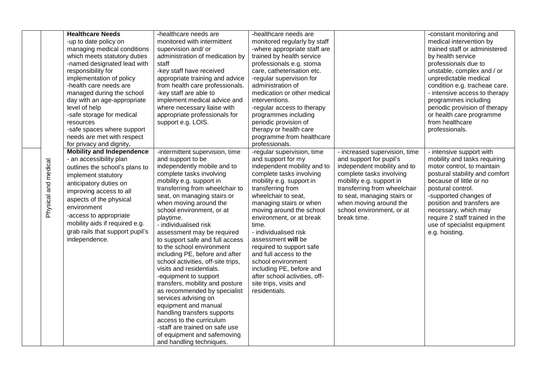|                      | <b>Healthcare Needs</b><br>-up to date policy on<br>managing medical conditions<br>which meets statutory duties<br>-named designated lead with<br>responsibility for<br>implementation of policy<br>-health care needs are<br>managed during the school<br>day with an age-appropriate<br>level of help<br>-safe storage for medical<br>resources<br>-safe spaces where support<br>needs are met with respect<br>for privacy and dignity. | -healthcare needs are<br>monitored with intermittent<br>supervision and/ or<br>administration of medication by<br>staff<br>-key staff have received<br>appropriate training and advice<br>from health care professionals.<br>-key staff are able to<br>implement medical advice and<br>where necessary liaise with<br>appropriate professionals for<br>support e.g. LOIS.                                                                                                                                                                                                                                                                                                                                                                                                                                        | -healthcare needs are<br>monitored regularly by staff<br>-where appropriate staff are<br>trained by health service<br>professionals e.g. stoma<br>care, catheterisation etc.<br>-regular supervision for<br>administration of<br>medication or other medical<br>interventions.<br>-regular access to therapy<br>programmes including<br>periodic provision of<br>therapy or health care<br>programme from healthcare<br>professionals.                                                                             |                                                                                                                                                                                                                                                                                      | -constant monitoring and<br>medical intervention by<br>trained staff or administered<br>by health service<br>professionals due to<br>unstable, complex and / or<br>unpredictable medical<br>condition e.g. tracheae care.<br>- intensive access to therapy<br>programmes including<br>periodic provision of therapy<br>or health care programme<br>from healthcare<br>professionals. |
|----------------------|-------------------------------------------------------------------------------------------------------------------------------------------------------------------------------------------------------------------------------------------------------------------------------------------------------------------------------------------------------------------------------------------------------------------------------------------|------------------------------------------------------------------------------------------------------------------------------------------------------------------------------------------------------------------------------------------------------------------------------------------------------------------------------------------------------------------------------------------------------------------------------------------------------------------------------------------------------------------------------------------------------------------------------------------------------------------------------------------------------------------------------------------------------------------------------------------------------------------------------------------------------------------|--------------------------------------------------------------------------------------------------------------------------------------------------------------------------------------------------------------------------------------------------------------------------------------------------------------------------------------------------------------------------------------------------------------------------------------------------------------------------------------------------------------------|--------------------------------------------------------------------------------------------------------------------------------------------------------------------------------------------------------------------------------------------------------------------------------------|--------------------------------------------------------------------------------------------------------------------------------------------------------------------------------------------------------------------------------------------------------------------------------------------------------------------------------------------------------------------------------------|
| Physical and medical | <b>Mobility and Independence</b><br>- an accessibility plan<br>outlines the school's plans to<br>implement statutory<br>anticipatory duties on<br>improving access to all<br>aspects of the physical<br>environment<br>-access to appropriate<br>mobility aids if required e.g.<br>grab rails that support pupil's<br>independence.                                                                                                       | -intermittent supervision, time<br>and support to be<br>independently mobile and to<br>complete tasks involving<br>mobility e.g. support in<br>transferring from wheelchair to<br>seat, on managing stairs or<br>when moving around the<br>school environment, or at<br>playtime.<br>- individualised risk<br>assessment may be required<br>to support safe and full access<br>to the school environment<br>including PE, before and after<br>school activities, off-site trips,<br>visits and residentials.<br>-equipment to support<br>transfers, mobility and posture<br>as recommended by specialist<br>services advising on<br>equipment and manual<br>handling transfers supports<br>access to the curriculum<br>-staff are trained on safe use<br>of equipment and safemoving<br>and handling techniques. | -regular supervision, time<br>and support for my<br>independent mobility and to<br>complete tasks involving<br>mobility e.g. support in<br>transferring from<br>wheelchair to seat,<br>managing stairs or when<br>moving around the school<br>environment, or at break<br>time.<br>- individualised risk<br>assessment will be<br>required to support safe<br>and full access to the<br>school environment<br>including PE, before and<br>after school activities, off-<br>site trips, visits and<br>residentials. | - increased supervision, time<br>and support for pupil's<br>independent mobility and to<br>complete tasks involving<br>mobility e.g. support in<br>transferring from wheelchair<br>to seat, managing stairs or<br>when moving around the<br>school environment, or at<br>break time. | - intensive support with<br>mobility and tasks requiring<br>motor control, to maintain<br>postural stability and comfort<br>because of little or no<br>postural control.<br>-supported changes of<br>position and transfers are<br>necessary, which may<br>require 2 staff trained in the<br>use of specialist equipment<br>e.g. hoisting.                                           |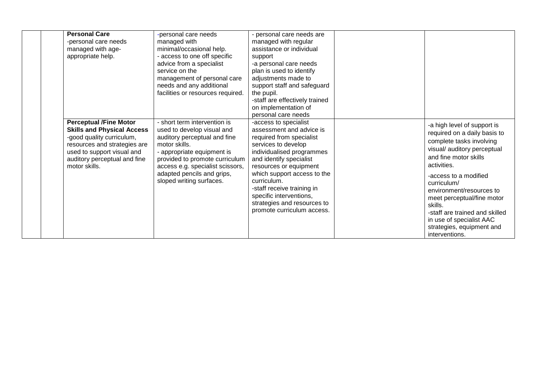| <b>Personal Care</b><br>-personal care needs<br>managed with age-<br>appropriate help.                                                                                                                         | -personal care needs<br>managed with<br>minimal/occasional help.<br>- access to one off specific<br>advice from a specialist<br>service on the<br>management of personal care<br>needs and any additional<br>facilities or resources required.                            | - personal care needs are<br>managed with regular<br>assistance or individual<br>support<br>-a personal care needs<br>plan is used to identify<br>adjustments made to<br>support staff and safeguard<br>the pupil.<br>-staff are effectively trained<br>on implementation of<br>personal care needs                                                        |                                                                                                                                                                                                                                                                                                                                                                                          |
|----------------------------------------------------------------------------------------------------------------------------------------------------------------------------------------------------------------|---------------------------------------------------------------------------------------------------------------------------------------------------------------------------------------------------------------------------------------------------------------------------|------------------------------------------------------------------------------------------------------------------------------------------------------------------------------------------------------------------------------------------------------------------------------------------------------------------------------------------------------------|------------------------------------------------------------------------------------------------------------------------------------------------------------------------------------------------------------------------------------------------------------------------------------------------------------------------------------------------------------------------------------------|
| <b>Perceptual /Fine Motor</b><br><b>Skills and Physical Access</b><br>-good quality curriculum,<br>resources and strategies are<br>used to support visual and<br>auditory perceptual and fine<br>motor skills. | - short term intervention is<br>used to develop visual and<br>auditory perceptual and fine<br>motor skills.<br>- appropriate equipment is<br>provided to promote curriculum<br>access e.g. specialist scissors,<br>adapted pencils and grips,<br>sloped writing surfaces. | -access to specialist<br>assessment and advice is<br>required from specialist<br>services to develop<br>individualised programmes<br>and identify specialist<br>resources or equipment<br>which support access to the<br>curriculum.<br>-staff receive training in<br>specific interventions,<br>strategies and resources to<br>promote curriculum access. | -a high level of support is<br>required on a daily basis to<br>complete tasks involving<br>visual/ auditory perceptual<br>and fine motor skills<br>activities.<br>-access to a modified<br>curriculum/<br>environment/resources to<br>meet perceptual/fine motor<br>skills.<br>-staff are trained and skilled<br>in use of specialist AAC<br>strategies, equipment and<br>interventions. |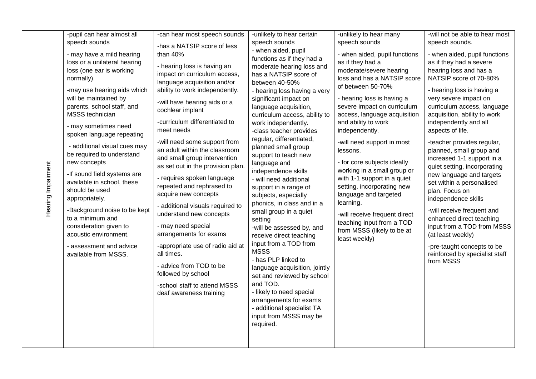| Hearing Impairment | -pupil can hear almost all<br>speech sounds<br>- may have a mild hearing<br>loss or a unilateral hearing<br>loss (one ear is working<br>normally).<br>-may use hearing aids which<br>will be maintained by<br>parents, school staff, and<br><b>MSSS</b> technician<br>- may sometimes need<br>spoken language repeating<br>- additional visual cues may<br>be required to understand<br>new concepts<br>-If sound field systems are<br>available in school, these<br>should be used<br>appropriately.<br>-Background noise to be kept<br>to a minimum and<br>consideration given to<br>acoustic environment.<br>- assessment and advice<br>available from MSSS. | -can hear most speech sounds<br>-has a NATSIP score of less<br>than 40%<br>- hearing loss is having an<br>impact on curriculum access,<br>language acquisition and/or<br>ability to work independently.<br>-will have hearing aids or a<br>cochlear implant<br>-curriculum differentiated to<br>meet needs<br>-will need some support from<br>an adult within the classroom<br>and small group intervention<br>as set out in the provision plan.<br>- requires spoken language<br>repeated and rephrased to<br>acquire new concepts<br>- additional visuals required to<br>understand new concepts<br>- may need special<br>arrangements for exams<br>-appropriate use of radio aid at<br>all times.<br>- advice from TOD to be<br>followed by school<br>-school staff to attend MSSS<br>deaf awareness training | -unlikely to hear certain<br>speech sounds<br>- when aided, pupil<br>functions as if they had a<br>moderate hearing loss and<br>has a NATSIP score of<br>between 40-50%<br>- hearing loss having a very<br>significant impact on<br>language acquisition,<br>curriculum access, ability to<br>work independently.<br>-class teacher provides<br>regular, differentiated,<br>planned small group<br>support to teach new<br>language and<br>independence skills<br>- will need additional<br>support in a range of<br>subjects, especially<br>phonics, in class and in a<br>small group in a quiet<br>setting<br>-will be assessed by, and<br>receive direct teaching<br>input from a TOD from<br><b>MSSS</b><br>- has PLP linked to<br>language acquisition, jointly<br>set and reviewed by school<br>and TOD.<br>- likely to need special<br>arrangements for exams | -unlikely to hear many<br>speech sounds<br>- when aided, pupil functions<br>as if they had a<br>moderate/severe hearing<br>loss and has a NATSIP score<br>of between 50-70%<br>- hearing loss is having a<br>severe impact on curriculum<br>access, language acquisition<br>and ability to work<br>independently.<br>-will need support in most<br>lessons.<br>- for core subjects ideally<br>working in a small group or<br>with 1-1 support in a quiet<br>setting, incorporating new<br>language and targeted<br>learning.<br>-will receive frequent direct<br>teaching input from a TOD<br>from MSSS (likely to be at<br>least weekly) | -will not be able to hear most<br>speech sounds.<br>- when aided, pupil functions<br>as if they had a severe<br>hearing loss and has a<br>NATSIP score of 70-80%<br>- hearing loss is having a<br>very severe impact on<br>curriculum access, language<br>acquisition, ability to work<br>independently and all<br>aspects of life.<br>-teacher provides regular,<br>planned, small group and<br>increased 1-1 support in a<br>quiet setting, incorporating<br>new language and targets<br>set within a personalised<br>plan. Focus on<br>independence skills<br>-will receive frequent and<br>enhanced direct teaching<br>input from a TOD from MSSS<br>(at least weekly)<br>-pre-taught concepts to be<br>reinforced by specialist staff<br>from MSSS |
|--------------------|-----------------------------------------------------------------------------------------------------------------------------------------------------------------------------------------------------------------------------------------------------------------------------------------------------------------------------------------------------------------------------------------------------------------------------------------------------------------------------------------------------------------------------------------------------------------------------------------------------------------------------------------------------------------|------------------------------------------------------------------------------------------------------------------------------------------------------------------------------------------------------------------------------------------------------------------------------------------------------------------------------------------------------------------------------------------------------------------------------------------------------------------------------------------------------------------------------------------------------------------------------------------------------------------------------------------------------------------------------------------------------------------------------------------------------------------------------------------------------------------|----------------------------------------------------------------------------------------------------------------------------------------------------------------------------------------------------------------------------------------------------------------------------------------------------------------------------------------------------------------------------------------------------------------------------------------------------------------------------------------------------------------------------------------------------------------------------------------------------------------------------------------------------------------------------------------------------------------------------------------------------------------------------------------------------------------------------------------------------------------------|-------------------------------------------------------------------------------------------------------------------------------------------------------------------------------------------------------------------------------------------------------------------------------------------------------------------------------------------------------------------------------------------------------------------------------------------------------------------------------------------------------------------------------------------------------------------------------------------------------------------------------------------|---------------------------------------------------------------------------------------------------------------------------------------------------------------------------------------------------------------------------------------------------------------------------------------------------------------------------------------------------------------------------------------------------------------------------------------------------------------------------------------------------------------------------------------------------------------------------------------------------------------------------------------------------------------------------------------------------------------------------------------------------------|
|                    |                                                                                                                                                                                                                                                                                                                                                                                                                                                                                                                                                                                                                                                                 |                                                                                                                                                                                                                                                                                                                                                                                                                                                                                                                                                                                                                                                                                                                                                                                                                  | - additional specialist TA<br>input from MSSS may be<br>required.                                                                                                                                                                                                                                                                                                                                                                                                                                                                                                                                                                                                                                                                                                                                                                                                    |                                                                                                                                                                                                                                                                                                                                                                                                                                                                                                                                                                                                                                           |                                                                                                                                                                                                                                                                                                                                                                                                                                                                                                                                                                                                                                                                                                                                                         |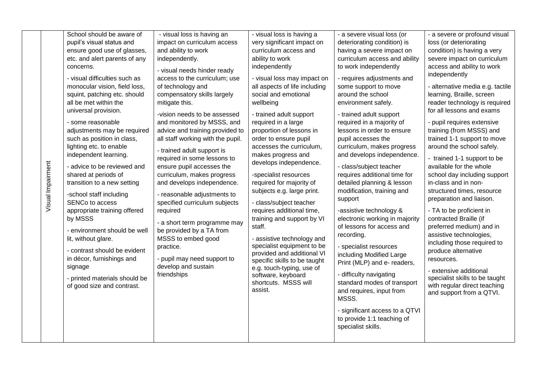| Visual Impairment | School should be aware of<br>pupil's visual status and<br>ensure good use of glasses,<br>etc. and alert parents of any<br>concerns.<br>- visual difficulties such as<br>monocular vision, field loss,<br>squint, patching etc. should<br>all be met within the<br>universal provision.<br>- some reasonable<br>adjustments may be required<br>such as position in class,<br>lighting etc. to enable<br>independent learning.<br>- advice to be reviewed and<br>shared at periods of<br>transition to a new setting<br>-school staff including<br>SENCo to access<br>appropriate training offered<br>by MSSS<br>- environment should be well<br>lit, without glare.<br>- contrast should be evident<br>in décor, furnishings and<br>signage<br>- printed materials should be<br>of good size and contrast. | - visual loss is having an<br>impact on curriculum access<br>and ability to work<br>independently.<br>- visual needs hinder ready<br>access to the curriculum; use<br>of technology and<br>compensatory skills largely<br>mitigate this.<br>-vision needs to be assessed<br>and monitored by MSSS, and<br>advice and training provided to<br>all staff working with the pupil.<br>- trained adult support is<br>required in some lessons to<br>ensure pupil accesses the<br>curriculum, makes progress<br>and develops independence.<br>- reasonable adjustments to<br>specified curriculum subjects<br>required<br>- a short term programme may<br>be provided by a TA from<br>MSSS to embed good<br>practice.<br>- pupil may need support to<br>develop and sustain<br>friendships | - visual loss is having a<br>very significant impact on<br>curriculum access and<br>ability to work<br>independently<br>- visual loss may impact on<br>all aspects of life including<br>social and emotional<br>wellbeing<br>- trained adult support<br>required in a large<br>proportion of lessons in<br>order to ensure pupil<br>accesses the curriculum,<br>makes progress and<br>develops independence.<br>-specialist resources<br>required for majority of<br>subjects e.g. large print.<br>- class/subject teacher<br>requires additional time,<br>training and support by VI<br>staff.<br>- assistive technology and<br>specialist equipment to be<br>provided and additional VI<br>specific skills to be taught<br>e.g. touch-typing, use of<br>software, keyboard<br>shortcuts. MSSS will<br>assist. | - a severe visual loss (or<br>deteriorating condition) is<br>having a severe impact on<br>curriculum access and ability<br>to work independently<br>- requires adjustments and<br>some support to move<br>around the school<br>environment safely.<br>- trained adult support<br>required in a majority of<br>lessons in order to ensure<br>pupil accesses the<br>curriculum, makes progress<br>and develops independence.<br>- class/subject teacher<br>requires additional time for<br>detailed planning & lesson<br>modification, training and<br>support<br>-assistive technology &<br>electronic working in majority<br>of lessons for access and<br>recording.<br>- specialist resources<br>including Modified Large<br>Print (MLP) and e- readers,<br>- difficulty navigating<br>standard modes of transport<br>and requires, input from<br>MSSS.<br>- significant access to a QTVI | - a severe or profound visual<br>loss (or deteriorating<br>condition) is having a very<br>severe impact on curriculum<br>access and ability to work<br>independently<br>- alternative media e.g. tactile<br>learning, Braille, screen<br>reader technology is required<br>for all lessons and exams<br>- pupil requires extensive<br>training (from MSSS) and<br>trained 1-1 support to move<br>around the school safely.<br>- trained 1-1 support to be<br>available for the whole<br>school day including support<br>in-class and in non-<br>structured times, resource<br>preparation and liaison.<br>- TA to be proficient in<br>contracted Braille (if<br>preferred medium) and in<br>assistive technologies,<br>including those required to<br>produce alternative<br>resources.<br>- extensive additional<br>specialist skills to be taught<br>with regular direct teaching<br>and support from a QTVI. |
|-------------------|-----------------------------------------------------------------------------------------------------------------------------------------------------------------------------------------------------------------------------------------------------------------------------------------------------------------------------------------------------------------------------------------------------------------------------------------------------------------------------------------------------------------------------------------------------------------------------------------------------------------------------------------------------------------------------------------------------------------------------------------------------------------------------------------------------------|--------------------------------------------------------------------------------------------------------------------------------------------------------------------------------------------------------------------------------------------------------------------------------------------------------------------------------------------------------------------------------------------------------------------------------------------------------------------------------------------------------------------------------------------------------------------------------------------------------------------------------------------------------------------------------------------------------------------------------------------------------------------------------------|-----------------------------------------------------------------------------------------------------------------------------------------------------------------------------------------------------------------------------------------------------------------------------------------------------------------------------------------------------------------------------------------------------------------------------------------------------------------------------------------------------------------------------------------------------------------------------------------------------------------------------------------------------------------------------------------------------------------------------------------------------------------------------------------------------------------|--------------------------------------------------------------------------------------------------------------------------------------------------------------------------------------------------------------------------------------------------------------------------------------------------------------------------------------------------------------------------------------------------------------------------------------------------------------------------------------------------------------------------------------------------------------------------------------------------------------------------------------------------------------------------------------------------------------------------------------------------------------------------------------------------------------------------------------------------------------------------------------------|----------------------------------------------------------------------------------------------------------------------------------------------------------------------------------------------------------------------------------------------------------------------------------------------------------------------------------------------------------------------------------------------------------------------------------------------------------------------------------------------------------------------------------------------------------------------------------------------------------------------------------------------------------------------------------------------------------------------------------------------------------------------------------------------------------------------------------------------------------------------------------------------------------------|
|                   |                                                                                                                                                                                                                                                                                                                                                                                                                                                                                                                                                                                                                                                                                                                                                                                                           |                                                                                                                                                                                                                                                                                                                                                                                                                                                                                                                                                                                                                                                                                                                                                                                      |                                                                                                                                                                                                                                                                                                                                                                                                                                                                                                                                                                                                                                                                                                                                                                                                                 | to provide 1:1 teaching of<br>specialist skills.                                                                                                                                                                                                                                                                                                                                                                                                                                                                                                                                                                                                                                                                                                                                                                                                                                           |                                                                                                                                                                                                                                                                                                                                                                                                                                                                                                                                                                                                                                                                                                                                                                                                                                                                                                                |
|                   |                                                                                                                                                                                                                                                                                                                                                                                                                                                                                                                                                                                                                                                                                                                                                                                                           |                                                                                                                                                                                                                                                                                                                                                                                                                                                                                                                                                                                                                                                                                                                                                                                      |                                                                                                                                                                                                                                                                                                                                                                                                                                                                                                                                                                                                                                                                                                                                                                                                                 |                                                                                                                                                                                                                                                                                                                                                                                                                                                                                                                                                                                                                                                                                                                                                                                                                                                                                            |                                                                                                                                                                                                                                                                                                                                                                                                                                                                                                                                                                                                                                                                                                                                                                                                                                                                                                                |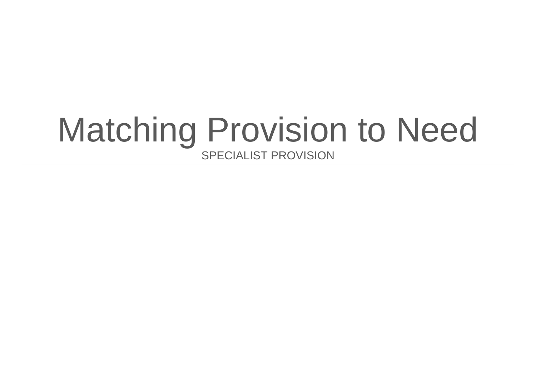# Matching Provision to Need SPECIALIST PROVISION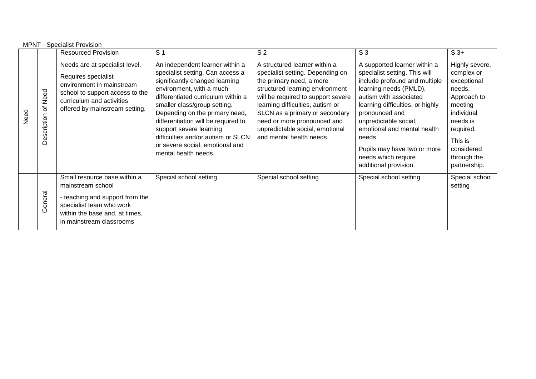|      | <b>MPNT - Specialist Provision</b>   |                                                                                                                                                                                      |                                                                                                                                                                                                                                                                                                                                                                                                               |                                                                                                                                                                                                                                                                                                                                            |                                                                                                                                                                                                                                                                                                                                                           |                                                                                                                                                                                |  |
|------|--------------------------------------|--------------------------------------------------------------------------------------------------------------------------------------------------------------------------------------|---------------------------------------------------------------------------------------------------------------------------------------------------------------------------------------------------------------------------------------------------------------------------------------------------------------------------------------------------------------------------------------------------------------|--------------------------------------------------------------------------------------------------------------------------------------------------------------------------------------------------------------------------------------------------------------------------------------------------------------------------------------------|-----------------------------------------------------------------------------------------------------------------------------------------------------------------------------------------------------------------------------------------------------------------------------------------------------------------------------------------------------------|--------------------------------------------------------------------------------------------------------------------------------------------------------------------------------|--|
|      |                                      | <b>Resourced Provision</b>                                                                                                                                                           | S <sub>1</sub>                                                                                                                                                                                                                                                                                                                                                                                                | S <sub>2</sub>                                                                                                                                                                                                                                                                                                                             | S <sub>3</sub>                                                                                                                                                                                                                                                                                                                                            | $S_3+$                                                                                                                                                                         |  |
| Need | Need<br>$\mathcal{P}$<br>Description | Needs are at specialist level.<br>Requires specialist<br>environment in mainstream<br>school to support access to the<br>curriculum and activities<br>offered by mainstream setting. | An independent learner within a<br>specialist setting. Can access a<br>significantly changed learning<br>environment, with a much-<br>differentiated curriculum within a<br>smaller class/group setting.<br>Depending on the primary need,<br>differentiation will be required to<br>support severe learning<br>difficulties and/or autism or SLCN<br>or severe social, emotional and<br>mental health needs. | A structured learner within a<br>specialist setting. Depending on<br>the primary need, a more<br>structured learning environment<br>will be required to support severe<br>learning difficulties, autism or<br>SLCN as a primary or secondary<br>need or more pronounced and<br>unpredictable social, emotional<br>and mental health needs. | A supported learner within a<br>specialist setting. This will<br>include profound and multiple<br>learning needs (PMLD),<br>autism with associated<br>learning difficulties, or highly<br>pronounced and<br>unpredictable social,<br>emotional and mental health<br>needs.<br>Pupils may have two or more<br>needs which require<br>additional provision. | Highly severe,<br>complex or<br>exceptional<br>needs.<br>Approach to<br>meeting<br>individual<br>needs is<br>required.<br>This is<br>considered<br>through the<br>partnership. |  |
|      | General                              | Small resource base within a<br>mainstream school<br>- teaching and support from the<br>specialist team who work<br>within the base and, at times,<br>in mainstream classrooms       | Special school setting                                                                                                                                                                                                                                                                                                                                                                                        | Special school setting                                                                                                                                                                                                                                                                                                                     | Special school setting                                                                                                                                                                                                                                                                                                                                    | Special school<br>setting                                                                                                                                                      |  |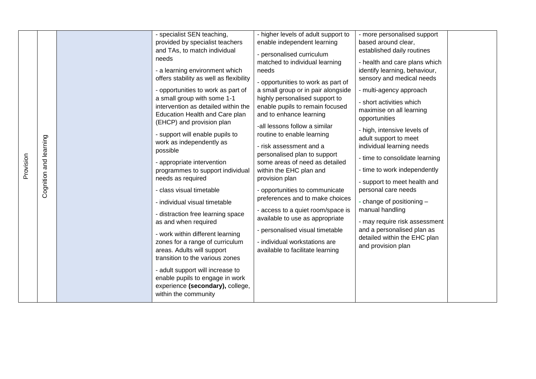| Provision | Cognition and learning | - specialist SEN teaching,<br>provided by specialist teachers<br>and TAs, to match individual<br>needs<br>- a learning environment which<br>offers stability as well as flexibility<br>- opportunities to work as part of<br>a small group with some 1-1<br>intervention as detailed within the<br>Education Health and Care plan<br>(EHCP) and provision plan<br>- support will enable pupils to<br>work as independently as<br>possible<br>- appropriate intervention<br>programmes to support individual<br>needs as required<br>- class visual timetable<br>- individual visual timetable<br>- distraction free learning space<br>as and when required<br>- work within different learning<br>zones for a range of curriculum<br>areas. Adults will support<br>transition to the various zones<br>- adult support will increase to<br>enable pupils to engage in work<br>experience (secondary), college, | - higher levels of adult support to<br>enable independent learning<br>- personalised curriculum<br>matched to individual learning<br>needs<br>- opportunities to work as part of<br>a small group or in pair alongside<br>highly personalised support to<br>enable pupils to remain focused<br>and to enhance learning<br>-all lessons follow a similar<br>routine to enable learning<br>- risk assessment and a<br>personalised plan to support<br>some areas of need as detailed<br>within the EHC plan and<br>provision plan<br>- opportunities to communicate<br>preferences and to make choices<br>- access to a quiet room/space is<br>available to use as appropriate<br>- personalised visual timetable<br>- individual workstations are<br>available to facilitate learning | - more personalised support<br>based around clear,<br>established daily routines<br>- health and care plans which<br>identify learning, behaviour,<br>sensory and medical needs<br>- multi-agency approach<br>- short activities which<br>maximise on all learning<br>opportunities<br>- high, intensive levels of<br>adult support to meet<br>individual learning needs<br>- time to consolidate learning<br>- time to work independently<br>- support to meet health and<br>personal care needs<br>- change of positioning -<br>manual handling<br>- may require risk assessment<br>and a personalised plan as<br>detailed within the EHC plan<br>and provision plan |  |
|-----------|------------------------|---------------------------------------------------------------------------------------------------------------------------------------------------------------------------------------------------------------------------------------------------------------------------------------------------------------------------------------------------------------------------------------------------------------------------------------------------------------------------------------------------------------------------------------------------------------------------------------------------------------------------------------------------------------------------------------------------------------------------------------------------------------------------------------------------------------------------------------------------------------------------------------------------------------|--------------------------------------------------------------------------------------------------------------------------------------------------------------------------------------------------------------------------------------------------------------------------------------------------------------------------------------------------------------------------------------------------------------------------------------------------------------------------------------------------------------------------------------------------------------------------------------------------------------------------------------------------------------------------------------------------------------------------------------------------------------------------------------|------------------------------------------------------------------------------------------------------------------------------------------------------------------------------------------------------------------------------------------------------------------------------------------------------------------------------------------------------------------------------------------------------------------------------------------------------------------------------------------------------------------------------------------------------------------------------------------------------------------------------------------------------------------------|--|
|           |                        | within the community                                                                                                                                                                                                                                                                                                                                                                                                                                                                                                                                                                                                                                                                                                                                                                                                                                                                                          |                                                                                                                                                                                                                                                                                                                                                                                                                                                                                                                                                                                                                                                                                                                                                                                      |                                                                                                                                                                                                                                                                                                                                                                                                                                                                                                                                                                                                                                                                        |  |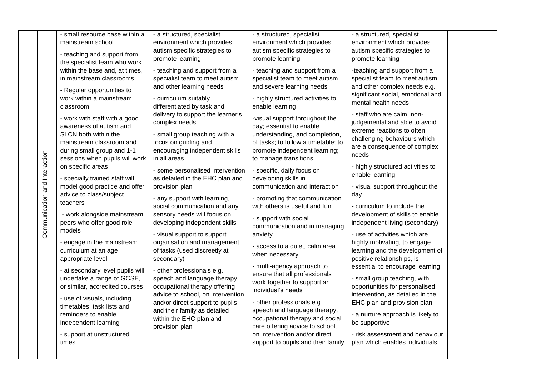|                               | - small resource base within a<br>mainstream school<br>- teaching and support from                                                                                                                                                                                                                                                                                                                                                                                                                                                                                                                                                                                    | - a structured, specialist<br>environment which provides<br>autism specific strategies to                                                                                                                                                                                                                                                                                                                                                                                                                                                                                                                                                                                                                  | - a structured, specialist<br>environment which provides<br>autism specific strategies to                                                                                                                                                                                                                                                                                                                                                                                                                                                                                                                                                                                                                                   | - a structured, specialist<br>environment which provides<br>autism specific strategies to                                                                                                                                                                                                                                                                                                                                                                                                                                                                                                                                                                                                                                       |  |
|-------------------------------|-----------------------------------------------------------------------------------------------------------------------------------------------------------------------------------------------------------------------------------------------------------------------------------------------------------------------------------------------------------------------------------------------------------------------------------------------------------------------------------------------------------------------------------------------------------------------------------------------------------------------------------------------------------------------|------------------------------------------------------------------------------------------------------------------------------------------------------------------------------------------------------------------------------------------------------------------------------------------------------------------------------------------------------------------------------------------------------------------------------------------------------------------------------------------------------------------------------------------------------------------------------------------------------------------------------------------------------------------------------------------------------------|-----------------------------------------------------------------------------------------------------------------------------------------------------------------------------------------------------------------------------------------------------------------------------------------------------------------------------------------------------------------------------------------------------------------------------------------------------------------------------------------------------------------------------------------------------------------------------------------------------------------------------------------------------------------------------------------------------------------------------|---------------------------------------------------------------------------------------------------------------------------------------------------------------------------------------------------------------------------------------------------------------------------------------------------------------------------------------------------------------------------------------------------------------------------------------------------------------------------------------------------------------------------------------------------------------------------------------------------------------------------------------------------------------------------------------------------------------------------------|--|
| Communication and Interaction | the specialist team who work<br>within the base and, at times,<br>in mainstream classrooms<br>- Regular opportunities to<br>work within a mainstream<br>classroom<br>- work with staff with a good<br>awareness of autism and<br>SLCN both within the<br>mainstream classroom and<br>during small group and 1-1<br>sessions when pupils will work<br>on specific areas<br>- specially trained staff will<br>model good practice and offer<br>advice to class/subject<br>teachers<br>- work alongside mainstream<br>peers who offer good role<br>models<br>- engage in the mainstream<br>curriculum at an age<br>appropriate level<br>- at secondary level pupils will | promote learning<br>- teaching and support from a<br>specialist team to meet autism<br>and other learning needs<br>- curriculum suitably<br>differentiated by task and<br>delivery to support the learner's<br>complex needs<br>- small group teaching with a<br>focus on guiding and<br>encouraging independent skills<br>in all areas<br>- some personalised intervention<br>as detailed in the EHC plan and<br>provision plan<br>- any support with learning,<br>social communication and any<br>sensory needs will focus on<br>developing independent skills<br>- visual support to support<br>organisation and management<br>of tasks (used discreetly at<br>secondary)<br>- other professionals e.g. | promote learning<br>- teaching and support from a<br>specialist team to meet autism<br>and severe learning needs<br>- highly structured activities to<br>enable learning<br>-visual support throughout the<br>day; essential to enable<br>understanding, and completion,<br>of tasks; to follow a timetable; to<br>promote independent learning;<br>to manage transitions<br>- specific, daily focus on<br>developing skills in<br>communication and interaction<br>- promoting that communication<br>with others is useful and fun<br>- support with social<br>communication and in managing<br>anxiety<br>- access to a quiet, calm area<br>when necessary<br>- multi-agency approach to<br>ensure that all professionals | promote learning<br>-teaching and support from a<br>specialist team to meet autism<br>and other complex needs e.g.<br>significant social, emotional and<br>mental health needs<br>- staff who are calm, non-<br>judgemental and able to avoid<br>extreme reactions to often<br>challenging behaviours which<br>are a consequence of complex<br>needs<br>- highly structured activities to<br>enable learning<br>- visual support throughout the<br>day<br>- curriculum to include the<br>development of skills to enable<br>independent living (secondary)<br>- use of activities which are<br>highly motivating, to engage<br>learning and the development of<br>positive relationships, is<br>essential to encourage learning |  |
|                               | undertake a range of GCSE,<br>or similar, accredited courses<br>- use of visuals, including<br>timetables, task lists and<br>reminders to enable<br>independent learning<br>- support at unstructured<br>times                                                                                                                                                                                                                                                                                                                                                                                                                                                        | speech and language therapy,<br>occupational therapy offering<br>advice to school, on intervention<br>and/or direct support to pupils<br>and their family as detailed<br>within the EHC plan and<br>provision plan                                                                                                                                                                                                                                                                                                                                                                                                                                                                                         | work together to support an<br>individual's needs<br>- other professionals e.g.<br>speech and language therapy,<br>occupational therapy and social<br>care offering advice to school,<br>on intervention and/or direct<br>support to pupils and their family                                                                                                                                                                                                                                                                                                                                                                                                                                                                | - small group teaching, with<br>opportunities for personalised<br>intervention, as detailed in the<br>EHC plan and provision plan<br>- a nurture approach is likely to<br>be supportive<br>- risk assessment and behaviour<br>plan which enables individuals                                                                                                                                                                                                                                                                                                                                                                                                                                                                    |  |
|                               |                                                                                                                                                                                                                                                                                                                                                                                                                                                                                                                                                                                                                                                                       |                                                                                                                                                                                                                                                                                                                                                                                                                                                                                                                                                                                                                                                                                                            |                                                                                                                                                                                                                                                                                                                                                                                                                                                                                                                                                                                                                                                                                                                             |                                                                                                                                                                                                                                                                                                                                                                                                                                                                                                                                                                                                                                                                                                                                 |  |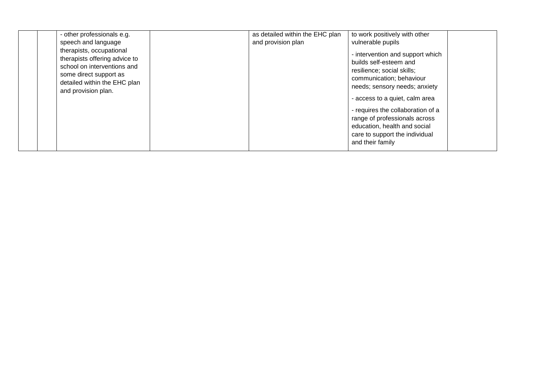| - other professionals e.g.                                                                                                                                                | as detailed within the EHC plan | to work positively with other                                                                                                                                                                                                                                                                                                                       |
|---------------------------------------------------------------------------------------------------------------------------------------------------------------------------|---------------------------------|-----------------------------------------------------------------------------------------------------------------------------------------------------------------------------------------------------------------------------------------------------------------------------------------------------------------------------------------------------|
| speech and language                                                                                                                                                       | and provision plan              | vulnerable pupils                                                                                                                                                                                                                                                                                                                                   |
| therapists, occupational<br>therapists offering advice to<br>school on interventions and<br>some direct support as<br>detailed within the EHC plan<br>and provision plan. |                                 | - intervention and support which<br>builds self-esteem and<br>resilience; social skills;<br>communication; behaviour<br>needs; sensory needs; anxiety<br>- access to a quiet, calm area<br>- requires the collaboration of a<br>range of professionals across<br>education, health and social<br>care to support the individual<br>and their family |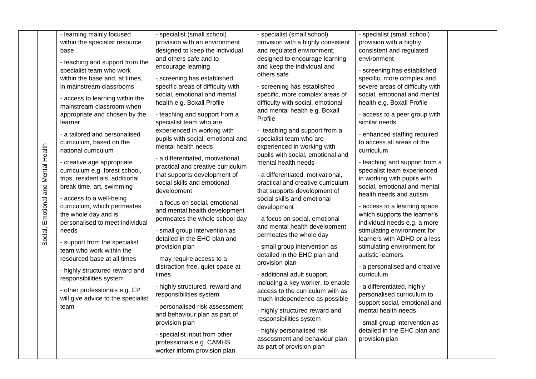|                                     | - learning mainly focused                                                                                                                                                                                                                                                                                                                                                                                                                                                                                                                                                                                                                                                                                              | - specialist (small school)                                                                                                                                                                                                                                                                                                                                                                                                                                                                                                                                                                                                                                                                                                                                     | - specialist (small school)                                                                                                                                                                                                                                                                                                                                                                                                                                                                                                                                                                                                                                                                                                                                    | - specialist (small school)                                                                                                                                                                                                                                                                                                                                                                                                                                                                                                                                                                                                                                                                                                         |  |
|-------------------------------------|------------------------------------------------------------------------------------------------------------------------------------------------------------------------------------------------------------------------------------------------------------------------------------------------------------------------------------------------------------------------------------------------------------------------------------------------------------------------------------------------------------------------------------------------------------------------------------------------------------------------------------------------------------------------------------------------------------------------|-----------------------------------------------------------------------------------------------------------------------------------------------------------------------------------------------------------------------------------------------------------------------------------------------------------------------------------------------------------------------------------------------------------------------------------------------------------------------------------------------------------------------------------------------------------------------------------------------------------------------------------------------------------------------------------------------------------------------------------------------------------------|----------------------------------------------------------------------------------------------------------------------------------------------------------------------------------------------------------------------------------------------------------------------------------------------------------------------------------------------------------------------------------------------------------------------------------------------------------------------------------------------------------------------------------------------------------------------------------------------------------------------------------------------------------------------------------------------------------------------------------------------------------------|-------------------------------------------------------------------------------------------------------------------------------------------------------------------------------------------------------------------------------------------------------------------------------------------------------------------------------------------------------------------------------------------------------------------------------------------------------------------------------------------------------------------------------------------------------------------------------------------------------------------------------------------------------------------------------------------------------------------------------------|--|
|                                     | within the specialist resource                                                                                                                                                                                                                                                                                                                                                                                                                                                                                                                                                                                                                                                                                         | provision with an environment                                                                                                                                                                                                                                                                                                                                                                                                                                                                                                                                                                                                                                                                                                                                   | provision with a highly consistent                                                                                                                                                                                                                                                                                                                                                                                                                                                                                                                                                                                                                                                                                                                             | provision with a highly                                                                                                                                                                                                                                                                                                                                                                                                                                                                                                                                                                                                                                                                                                             |  |
|                                     | base                                                                                                                                                                                                                                                                                                                                                                                                                                                                                                                                                                                                                                                                                                                   | designed to keep the individual                                                                                                                                                                                                                                                                                                                                                                                                                                                                                                                                                                                                                                                                                                                                 | and regulated environment,                                                                                                                                                                                                                                                                                                                                                                                                                                                                                                                                                                                                                                                                                                                                     | consistent and regulated                                                                                                                                                                                                                                                                                                                                                                                                                                                                                                                                                                                                                                                                                                            |  |
| Social, Emotional and Mental Health | - teaching and support from the<br>specialist team who work<br>within the base and, at times,<br>in mainstream classrooms<br>- access to learning within the<br>mainstream classroom when<br>appropriate and chosen by the<br>learner<br>- a tailored and personalised<br>curriculum, based on the<br>national curriculum<br>- creative age appropriate<br>curriculum e.g. forest school,<br>trips, residentials, additional<br>break time, art, swimming<br>- access to a well-being<br>curriculum, which permeates<br>the whole day and is<br>personalised to meet individual<br>needs<br>- support from the specialist<br>team who work within the<br>resourced base at all times<br>- highly structured reward and | and others safe and to<br>encourage learning<br>- screening has established<br>specific areas of difficulty with<br>social, emotional and mental<br>health e.g. Boxall Profile<br>- teaching and support from a<br>specialist team who are<br>experienced in working with<br>pupils with social, emotional and<br>mental health needs<br>- a differentiated, motivational,<br>practical and creative curriculum<br>that supports development of<br>social skills and emotional<br>development<br>- a focus on social, emotional<br>and mental health development<br>permeates the whole school day<br>- small group intervention as<br>detailed in the EHC plan and<br>provision plan<br>- may require access to a<br>distraction free, quiet space at<br>times | designed to encourage learning<br>and keep the individual and<br>others safe<br>- screening has established<br>specific, more complex areas of<br>difficulty with social, emotional<br>and mental health e.g. Boxall<br>Profile<br>- teaching and support from a<br>specialist team who are<br>experienced in working with<br>pupils with social, emotional and<br>mental health needs<br>- a differentiated, motivational,<br>practical and creative curriculum<br>that supports development of<br>social skills and emotional<br>development<br>- a focus on social, emotional<br>and mental health development<br>permeates the whole day<br>- small group intervention as<br>detailed in the EHC plan and<br>provision plan<br>- additional adult support, | environment<br>- screening has established<br>specific, more complex and<br>severe areas of difficulty with<br>social, emotional and mental<br>health e.g. Boxall Profile<br>- access to a peer group with<br>similar needs<br>- enhanced staffing required<br>to access all areas of the<br>curriculum<br>- teaching and support from a<br>specialist team experienced<br>in working with pupils with<br>social, emotional and mental<br>health needs and autism<br>- access to a learning space<br>which supports the learner's<br>individual needs e.g. a more<br>stimulating environment for<br>learners with ADHD or a less<br>stimulating environment for<br>autistic learners<br>- a personalised and creative<br>curriculum |  |
|                                     | responsibilities system<br>- other professionals e.g. EP<br>will give advice to the specialist                                                                                                                                                                                                                                                                                                                                                                                                                                                                                                                                                                                                                         | - highly structured, reward and<br>responsibilities system                                                                                                                                                                                                                                                                                                                                                                                                                                                                                                                                                                                                                                                                                                      | including a key worker, to enable<br>access to the curriculum with as<br>much independence as possible                                                                                                                                                                                                                                                                                                                                                                                                                                                                                                                                                                                                                                                         | - a differentiated, highly<br>personalised curriculum to<br>support social, emotional and                                                                                                                                                                                                                                                                                                                                                                                                                                                                                                                                                                                                                                           |  |
|                                     | team                                                                                                                                                                                                                                                                                                                                                                                                                                                                                                                                                                                                                                                                                                                   | personalised risk assessment<br>and behaviour plan as part of<br>provision plan<br>- specialist input from other<br>professionals e.g. CAMHS<br>worker inform provision plan                                                                                                                                                                                                                                                                                                                                                                                                                                                                                                                                                                                    | - highly structured reward and<br>responsibilities system<br>- highly personalised risk<br>assessment and behaviour plan<br>as part of provision plan                                                                                                                                                                                                                                                                                                                                                                                                                                                                                                                                                                                                          | mental health needs<br>- small group intervention as<br>detailed in the EHC plan and<br>provision plan                                                                                                                                                                                                                                                                                                                                                                                                                                                                                                                                                                                                                              |  |
|                                     |                                                                                                                                                                                                                                                                                                                                                                                                                                                                                                                                                                                                                                                                                                                        |                                                                                                                                                                                                                                                                                                                                                                                                                                                                                                                                                                                                                                                                                                                                                                 |                                                                                                                                                                                                                                                                                                                                                                                                                                                                                                                                                                                                                                                                                                                                                                |                                                                                                                                                                                                                                                                                                                                                                                                                                                                                                                                                                                                                                                                                                                                     |  |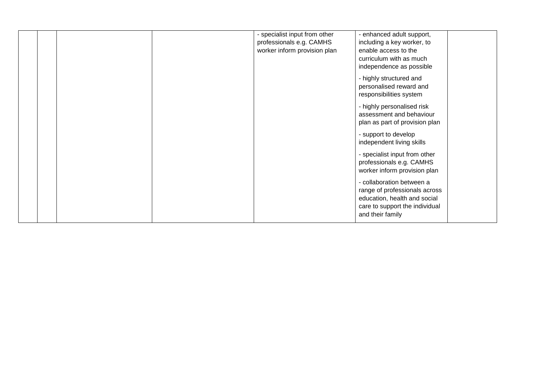|  |  | - specialist input from other | - enhanced adult support,      |  |
|--|--|-------------------------------|--------------------------------|--|
|  |  | professionals e.g. CAMHS      | including a key worker, to     |  |
|  |  | worker inform provision plan  | enable access to the           |  |
|  |  |                               | curriculum with as much        |  |
|  |  |                               | independence as possible       |  |
|  |  |                               | - highly structured and        |  |
|  |  |                               | personalised reward and        |  |
|  |  |                               | responsibilities system        |  |
|  |  |                               |                                |  |
|  |  |                               | - highly personalised risk     |  |
|  |  |                               | assessment and behaviour       |  |
|  |  |                               | plan as part of provision plan |  |
|  |  |                               | - support to develop           |  |
|  |  |                               | independent living skills      |  |
|  |  |                               |                                |  |
|  |  |                               | - specialist input from other  |  |
|  |  |                               | professionals e.g. CAMHS       |  |
|  |  |                               | worker inform provision plan   |  |
|  |  |                               | - collaboration between a      |  |
|  |  |                               | range of professionals across  |  |
|  |  |                               | education, health and social   |  |
|  |  |                               | care to support the individual |  |
|  |  |                               | and their family               |  |
|  |  |                               |                                |  |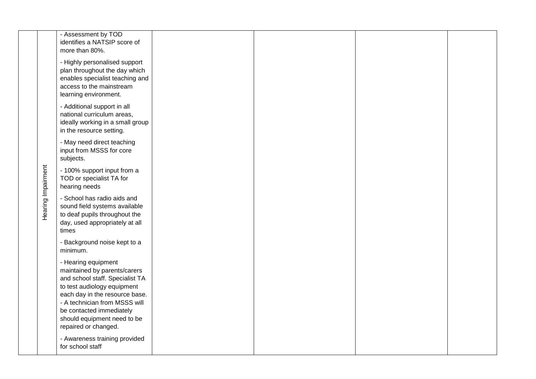|                    | - Assessment by TOD<br>identifies a NATSIP score of<br>more than 80%.                                                                                                                                                                                                       |  |  |
|--------------------|-----------------------------------------------------------------------------------------------------------------------------------------------------------------------------------------------------------------------------------------------------------------------------|--|--|
|                    | - Highly personalised support<br>plan throughout the day which<br>enables specialist teaching and<br>access to the mainstream<br>learning environment.                                                                                                                      |  |  |
|                    | - Additional support in all<br>national curriculum areas,<br>ideally working in a small group<br>in the resource setting.                                                                                                                                                   |  |  |
|                    | - May need direct teaching<br>input from MSSS for core<br>subjects.                                                                                                                                                                                                         |  |  |
|                    | - 100% support input from a<br>TOD or specialist TA for<br>hearing needs                                                                                                                                                                                                    |  |  |
| Hearing Impairment | - School has radio aids and<br>sound field systems available<br>to deaf pupils throughout the<br>day, used appropriately at all<br>times                                                                                                                                    |  |  |
|                    | - Background noise kept to a<br>minimum.                                                                                                                                                                                                                                    |  |  |
|                    | - Hearing equipment<br>maintained by parents/carers<br>and school staff. Specialist TA<br>to test audiology equipment<br>each day in the resource base.<br>- A technician from MSSS will<br>be contacted immediately<br>should equipment need to be<br>repaired or changed. |  |  |
|                    | - Awareness training provided<br>for school staff                                                                                                                                                                                                                           |  |  |